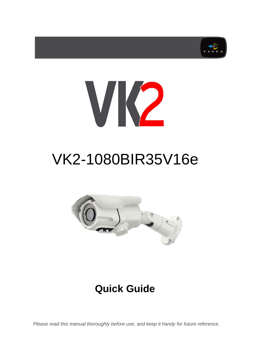



# VK2-1080BIR35V16e



## **Quick Guide**

*Please read this manual thoroughly before use, and keep it handy for future reference.*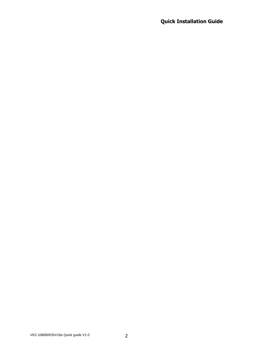## **Quick Installation Guide**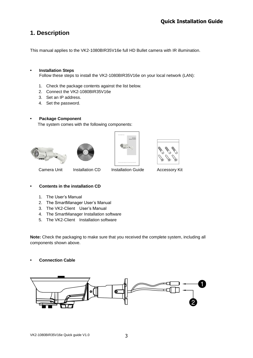## **1. Description**

This manual applies to the VK2-1080BIR35V16e full HD Bullet camera with IR illumination.

#### **• Installation Steps**

Follow these steps to install the VK2-1080BIR35V16e on your local network (LAN):

- 1. Check the package contents against the list below.
- 2. Connect the VK2-1080BIR35V16e
- 3. Set an IP address.
- 4. Set the password.

#### **• Package Component**

The system comes with the following components:









Camera Unit Installation CD Installation Guide Accessory Kit

## **• Contents in the installation CD**

- 1. The User's Manual
- 2. The SmartManager User's Manual
- 3. The VK2-Client User's Manual
- 4. The SmartManager Installation software
- 5. The VK2-Client Installation software

**Note:** Check the packaging to make sure that you received the complete system, including all components shown above.

**• Connection Cable**

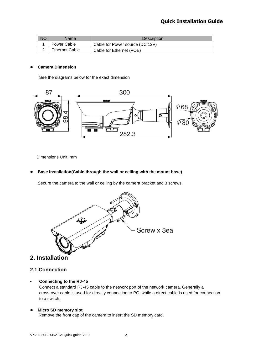| NO | Name                  | <b>Description</b>              |
|----|-----------------------|---------------------------------|
|    | Power Cable           | Cable for Power source (DC 12V) |
|    | <b>Ethernet Cable</b> | Cable for Ethernet (POE)        |

## **Camera Dimension**

See the diagrams below for the exact dimension



Dimensions Unit: mm

## **Base Installation(Cable through the wall or ceiling with the mount base)**

Secure the camera to the wall or ceiling by the camera bracket and 3 screws.



## **2. Installation**

## **2.1 Connection**

## **• Connecting to the RJ-45**

Connect a standard RJ-45 cable to the network port of the network camera. Generally a cross-over cable is used for directly connection to PC, while a direct cable is used for connection to a switch.

#### **Micro SD memory slot** Remove the front cap of the camera to insert the SD memory card.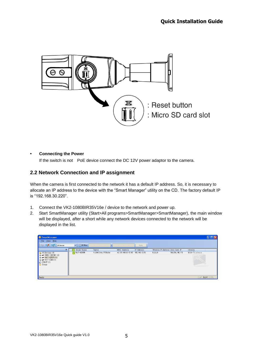

**• Connecting the Power**

If the switch is not PoE device connect the DC 12V power adaptor to the camera.

## **2.2 Network Connection and IP assignment**

When the camera is first connected to the network it has a default IP address. So, it is necessary to allocate an IP address to the device with the "Smart Manager" utility on the CD. The factory default IP is "192.168.30.220".

- 1. Connect the VK2-1080BIR35V16e / device to the network and power up.
- 2. Start SmartManager utility (Start>All programs>SmartManager>SmartManager), the main window will be displayed, after a short while any network devices connected to the network will be displayed in the list.

| <b>N</b> SmartManager                                                                                      |                                              |                               |                   |                   |                                   |                    |                    |
|------------------------------------------------------------------------------------------------------------|----------------------------------------------|-------------------------------|-------------------|-------------------|-----------------------------------|--------------------|--------------------|
| $\vdash$ Eile<br>View Help                                                                                 |                                              |                               |                   |                   |                                   |                    |                    |
| I<br>$\bullet$ $\bullet$<br>All Device                                                                     | $\overline{\mathbf{v}}$<br>$\Box$ IP Filter: | <b>Inc.</b><br><b>COLLECT</b> | <b>COLLECTION</b> | Apply             |                                   |                    |                    |
| 4                                                                                                          | Model Name                                   | Name                          | MAC Address       | <b>IP Address</b> | Wireless IP Address Zero Conf, IP |                    | Version            |
| a All Devices (4)                                                                                          | NUT-8203R                                    | H. 264 Entry IR Bullet        | AC:DE:48:DD:1E:43 | 192, 168, 12, 55  | 0, 0, 0, 0                        | 169, 254, 196, 115 | $0,0,6-78$ release |
| E → NMX-12031B1 (2)<br>$\Rightarrow$ NUT-8203R (1)<br>$\rightarrow$ NVT-6344 (1)<br>$O$ ONVIF (1)<br>Group |                                              |                               |                   |                   |                                   |                    |                    |
| Ready                                                                                                      |                                              |                               |                   |                   |                                   |                    | CAP NUM SCRL :     |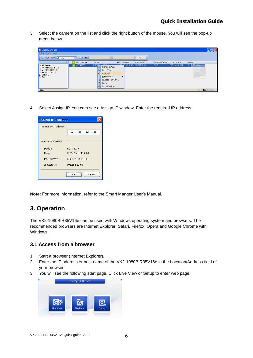3. Select the camera on the list and click the right button of the mouse. You will see the pop-up menu below.

| N SmartManager                                                                                                                 |                                              |                        |                                                                                                       |                                     |                                   | ا کال - ا           |
|--------------------------------------------------------------------------------------------------------------------------------|----------------------------------------------|------------------------|-------------------------------------------------------------------------------------------------------|-------------------------------------|-----------------------------------|---------------------|
| $\vdash$ Eile<br>View Help                                                                                                     |                                              |                        |                                                                                                       |                                     |                                   |                     |
| $e^*$<br>I<br>$O =$<br>All Device                                                                                              | $\overline{\mathbf{v}}$<br>$\Box$ IP Filter: |                        | the committee of the com-<br>$\sim$<br><b>STATE</b>                                                   | Apply<br><b>COLLA</b>               |                                   |                     |
| 4                                                                                                                              | Model Name                                   | Name                   | MAC Address                                                                                           | <b>IP Address</b>                   | Wireless IP Address Zero Conf. IP | Version             |
| a All Devices (4)<br>in → NMX-12031B1 (2)<br>$\Rightarrow$ NUT-8203R (1)<br>$\Rightarrow$ NVT-6344 (1)<br>O ONVIF (1)<br>Group | $\sqrt{$ NUT-8203R                           | 發<br>ø<br>$\mathbf{e}$ | Remote Setup<br>Quick View<br>Assign IP<br>Maintenance<br>Upgrade Firmware<br>Log In<br>Open Web Page | AC (PE-43:DD:1E:43 192, 168, 12, 55 | 169, 254, 196, 115<br>0.0.0.0     | $0,0,6-$ T8_release |
| Ready                                                                                                                          |                                              |                        |                                                                                                       |                                     |                                   | CAP NUM SCRL        |

4. Select Assign IP. You cam see a Assign IP window. Enter the required IP address.



**Note:** For more information, refer to the Smart Manger User's Manual.

## **3. Operation**

The VK2-1080BIR35V16e can be used with Windows operating system and browsers. The recommended browsers are Internet Explorer, Safari, Firefox, Opera and Google Chrome with Windows.

## **3.1 Access from a browser**

- 1. Start a browser (Internet Explorer).
- 2. Enter the IP address or host name of the VK2-1080BIR35V16e in the Location/Address field of your browser.
- 3. You will see the following start page. Click Live View or Setup to enter web page.

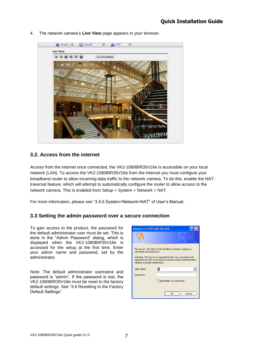4. The network camera's **Live View** page appears in your browser.



## **3.2. Access from the internet**

Access from the internet once connected, the VK2-1080BIR35V16e is accessible on your local network (LAN). To access the VK2-1080BIR35V16e from the Internet you must configure your broadband router to allow incoming data traffic to the network camera. To do this, enable the NATtraversal feature, which will attempt to automatically configure the router to allow access to the network camera. This is enabled from Setup > System > Network > NAT.

For more information, please see "3.5.6 System>Network>NAT" of User's Manual.

## **3.3 Setting the admin password over a secure connection**

To gain access to the product, the password for the default administrator user must be set. This is done in the "Admin Password" dialog, which is displayed when the VK2-1080BIR35V16e is accessed for the setup at the first time. Enter your admin name and password, set by the administrator.

Note: The default administrator username and password is "admin". If the password is lost, the VK2-1080BIR35V16e must be reset to the factory default settings. See "3.6 Resetting to the Factory Default Settings".

| <b>Connect to 192.168.12.210</b>                                                                                                                                                                                                               |                      |  |  |  |  |
|------------------------------------------------------------------------------------------------------------------------------------------------------------------------------------------------------------------------------------------------|----------------------|--|--|--|--|
|                                                                                                                                                                                                                                                |                      |  |  |  |  |
| The server 192.168.12.210 at Hitron Systems requires a<br>username and password.<br>Warning: This server is requesting that your username and<br>password be sent in an insecure manner (basic authentication<br>without a secure connection). |                      |  |  |  |  |
| User name:                                                                                                                                                                                                                                     | n                    |  |  |  |  |
| Password:                                                                                                                                                                                                                                      |                      |  |  |  |  |
|                                                                                                                                                                                                                                                | Remember my password |  |  |  |  |
|                                                                                                                                                                                                                                                |                      |  |  |  |  |
|                                                                                                                                                                                                                                                | Cancel<br>OK         |  |  |  |  |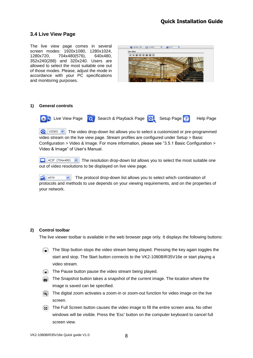## **3.4 Live View Page**

The live view page comes in several screen modes: 1920x1080, 1280x1024, 1280x720, 704x480(576), 640x480, 352x240(288) and 320x240. Users are allowed to select the most suitable one out of those modes. Please, adjust the mode in accordance with your PC specifications and monitoring purposes.



#### **1) General controls**



**THE VIDEO V** The video drop-down list allows you to select a customized or pre-programmed video stream on the live view page. Stream profiles are configured under Setup > Basic Configuration > Video & Image. For more information, please see "3.5.1 Basic Configuration > Video & Image" of User's Manual.

The resolution drop-down list allows you to select the most suitable one out of video resolutions to be displayed on live view page.

 $\Gamma$   $\sim$  The protocol drop-down list allows you to select which combination of protocols and methods to use depends on your viewing requirements, and on the properties of your network.

## **2) Control toolbar**

The live viewer toolbar is available in the web browser page only. It displays the following buttons:

- The Stop button stops the video stream being played. Pressing the key again toggles the  $\bigcirc$ start and stop. The Start button connects to the VK2-1080BIR35V16e or start playing a video stream.
- $\binom{1}{1}$  The Pause button pause the video stream being played.
- **The Snapshot button takes a snapshot of the current image. The location where the** image is saved can be specified.
- The digital zoom activates a zoom-in or zoom-out function for video image on the live screen.
- The Full Screen button causes the video image to fill the entire screen area. No other windows will be visible. Press the 'Esc' button on the computer keyboard to cancel full screen view.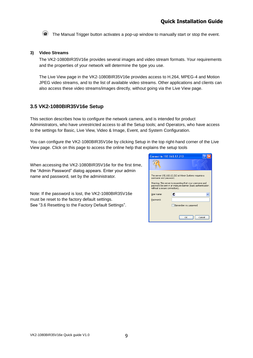**4** The Manual Trigger button activates a pop-up window to manually start or stop the event.

#### **3) Video Streams**

The VK2-1080BIR35V16e provides several images and video stream formats. Your requirements and the properties of your network will determine the type you use.

The Live View page in the VK2-1080BIR35V16e provides access to H.264, MPEG-4 and Motion JPEG video streams, and to the list of available video streams. Other applications and clients can also access these video streams/images directly, without going via the Live View page.

## **3.5 VK2-1080BIR35V16e Setup**

This section describes how to configure the network camera, and is intended for product Administrators, who have unrestricted access to all the Setup tools; and Operators, who have access to the settings for Basic, Live View, Video & Image, Event, and System Configuration.

You can configure the VK2-1080BIR35V16e by clicking Setup in the top right-hand corner of the Live View page. Click on this page to access the online help that explains the setup tools

When accessing the VK2-1080BIR35V16e for the first time, the "Admin Password" dialog appears. Enter your admin name and password, set by the administrator.

Note: If the password is lost, the VK2-1080BIR35V16e must be reset to the factory default settings. See "3.6 Resetting to the Factory Default Settings".

| <b>Connect to 192.168.12.210</b>                        |                                                                                                                                                                                     |
|---------------------------------------------------------|-------------------------------------------------------------------------------------------------------------------------------------------------------------------------------------|
|                                                         |                                                                                                                                                                                     |
| username and password.<br>without a secure connection). | The server 192.168.12.210 at Hitron Systems requires a<br>Warning: This server is requesting that your username and<br>password be sent in an insecure manner (basic authentication |
| User name:                                              | n                                                                                                                                                                                   |
| Password:                                               |                                                                                                                                                                                     |
|                                                         | Remember my password                                                                                                                                                                |
|                                                         |                                                                                                                                                                                     |
|                                                         | Cancel<br>OK                                                                                                                                                                        |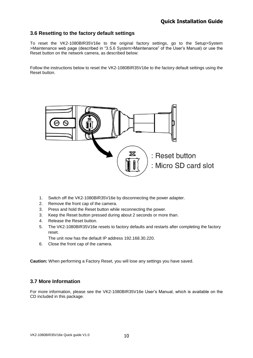## **3.6 Resetting to the factory default settings**

To reset the VK2-1080BIR35V16e to the original factory settings, go to the Setup>System >Maintenance web page (described in "3.5.6 System>Maintenance" of the User's Manual) or use the Reset button on the network camera, as described below:

Follow the instructions below to reset the VK2-1080BIR35V16e to the factory default settings using the Reset button.



- 1. Switch off the VK2-1080BIR35V16e by disconnecting the power adapter.
- 2. Remove the front cap of the camera.
- 3. Press and hold the Reset button while reconnecting the power.
- 3. Keep the Reset button pressed during about 2 seconds or more than.
- 4. Release the Reset button.
- 5. The VK2-1080BIR35V16e resets to factory defaults and restarts after completing the factory reset.

The unit now has the default IP address 192.168.30.220.

6. Close the front cap of the camera.

**Caution:** When performing a Factory Reset, you will lose any settings you have saved.

## **3.7 More Information**

For more information, please see the VK2-1080BIR35V16e User's Manual, which is available on the CD included in this package.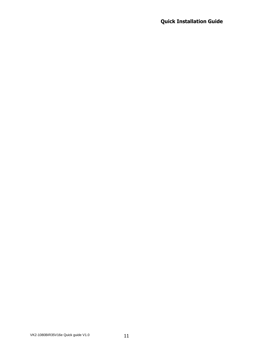## **Quick Installation Guide**